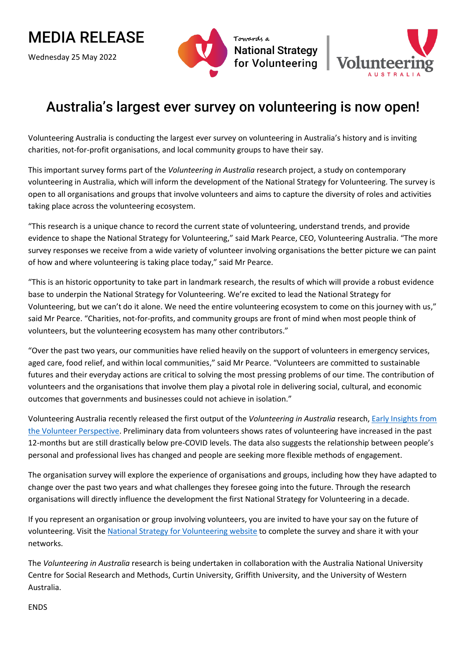## MEDIA RELEASE

Wednesday 25 May 2022





## Australia's largest ever survey on volunteering is now open!

Volunteering Australia is conducting the largest ever survey on volunteering in Australia's history and is inviting charities, not-for-profit organisations, and local community groups to have their say.

This important survey forms part of the *Volunteering in Australia* research project, a study on contemporary volunteering in Australia, which will inform the development of the National Strategy for Volunteering. The survey is open to all organisations and groups that involve volunteers and aims to capture the diversity of roles and activities taking place across the volunteering ecosystem.

"This research is a unique chance to record the current state of volunteering, understand trends, and provide evidence to shape the National Strategy for Volunteering," said Mark Pearce, CEO, Volunteering Australia. "The more survey responses we receive from a wide variety of volunteer involving organisations the better picture we can paint of how and where volunteering is taking place today," said Mr Pearce.

"This is an historic opportunity to take part in landmark research, the results of which will provide a robust evidence base to underpin the National Strategy for Volunteering. We're excited to lead the National Strategy for Volunteering, but we can't do it alone. We need the entire volunteering ecosystem to come on this journey with us," said Mr Pearce. "Charities, not-for-profits, and community groups are front of mind when most people think of volunteers, but the volunteering ecosystem has many other contributors."

"Over the past two years, our communities have relied heavily on the support of volunteers in emergency services, aged care, food relief, and within local communities," said Mr Pearce. "Volunteers are committed to sustainable futures and their everyday actions are critical to solving the most pressing problems of our time. The contribution of volunteers and the organisations that involve them play a pivotal role in delivering social, cultural, and economic outcomes that governments and businesses could not achieve in isolation."

Volunteering Australia recently released the first output of the *Volunteering in Australia* research, [Early Insights from](https://volunteeringstrategy.org.au/research-early-insights-from-the-volunteer-perspective/) [the Volunteer Perspective.](https://volunteeringstrategy.org.au/research-early-insights-from-the-volunteer-perspective/) Preliminary data from volunteers shows rates of volunteering have increased in the past 12-months but are still drastically below pre-COVID levels. The data also suggests the relationship between people's personal and professional lives has changed and people are seeking more flexible methods of engagement.

The organisation survey will explore the experience of organisations and groups, including how they have adapted to change over the past two years and what challenges they foresee going into the future. Through the research organisations will directly influence the development the first National Strategy for Volunteering in a decade.

If you represent an organisation or group involving volunteers, you are invited to have your say on the future of volunteering. Visit the [National Strategy for Volunteering website](https://volunteeringstrategy.org.au/research/) to complete the survey and share it with your networks.

The *Volunteering in Australia* research is being undertaken in collaboration with the Australia National University Centre for Social Research and Methods, Curtin University, Griffith University, and the University of Western Australia.

ENDS